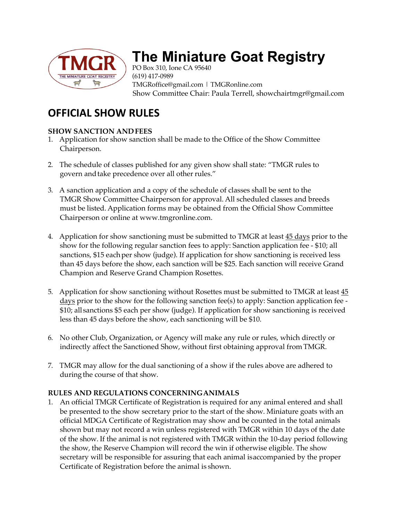

# **The Miniature Goat Registry**

PO Box 310, Ione CA 95640 (619) 417-0989 TMGRoffice@gmail.com | TMGRonline.com Show Committee Chair: Paula Terrell, showchairtmgr@gmail.com

# **OFFICIAL SHOW RULES**

## **SHOW SANCTION ANDFEES**

- 1. Application for show sanction shall be made to the Office of the Show Committee Chairperson.
- 2. The schedule of classes published for any given show shall state: "TMGR rules to govern and take precedence over all other rules."
- 3. A sanction application and a copy of the schedule of classes shall be sent to the TMGR Show Committee Chairperson for approval. All scheduled classes and breeds must be listed. Application forms may be obtained from the Official Show Committee Chairperson or online at www.tmgronline.com.
- 4. Application for show sanctioning must be submitted to TMGR at least 45 days prior to the show for the following regular sanction fees to apply: Sanction application fee - \$10; all sanctions, \$15 each per show (judge). If application for show sanctioning is received less than 45 days before the show, each sanction will be \$25. Each sanction will receive Grand Champion and Reserve Grand Champion Rosettes.
- 5. Application for show sanctioning without Rosettes must be submitted to TMGR at least 45 days prior to the show for the following sanction fee(s) to apply: Sanction application fee -\$10; all sanctions \$5 each per show (judge). If application for show sanctioning is received less than 45 days before the show, each sanctioning will be \$10.
- 6. No other Club, Organization, or Agency will make any rule or rules, which directly or indirectly affect the Sanctioned Show, without first obtaining approval from TMGR.
- 7. TMGR may allow for the dual sanctioning of a show if the rules above are adhered to during the course of that show.

### **RULES AND REGULATIONS CONCERNINGANIMALS**

1. An official TMGR Certificate of Registration is required for any animal entered and shall be presented to the show secretary prior to the start of the show. Miniature goats with an official MDGA Certificate of Registration may show and be counted in the total animals shown but may not record a win unless registered with TMGR within 10 days of the date of the show. If the animal is not registered with TMGR within the 10-day period following the show, the Reserve Champion will record the win if otherwise eligible. The show secretary will be responsible for assuring that each animal isaccompanied by the proper Certificate of Registration before the animal is shown.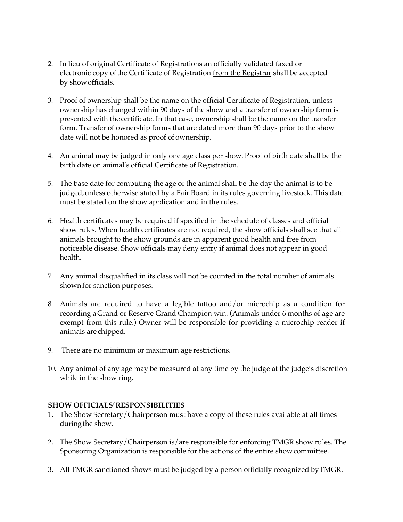- 2. In lieu of original Certificate of Registrations an officially validated faxed or electronic copy of the Certificate of Registration from the Registrar shall be accepted by showofficials.
- 3. Proof of ownership shall be the name on the official Certificate of Registration, unless ownership has changed within 90 days of the show and a transfer of ownership form is presented with the certificate. In that case, ownership shall be the name on the transfer form. Transfer of ownership forms that are dated more than 90 days prior to the show date will not be honored as proof of ownership.
- 4. An animal may be judged in only one age class per show. Proof of birth date shall be the birth date on animal's official Certificate of Registration.
- 5. The base date for computing the age of the animal shall be the day the animal is to be judged, unless otherwise stated by a Fair Board in its rules governing livestock. This date must be stated on the show application and in the rules.
- 6. Health certificates may be required if specified in the schedule of classes and official show rules. When health certificates are not required, the show officials shall see that all animals brought to the show grounds are in apparent good health and free from noticeable disease. Show officials maydeny entry if animal does not appear in good health.
- 7. Any animal disqualified in its class will not be counted in the total number of animals shown for sanction purposes.
- 8. Animals are required to have a legible tattoo and/or microchip as a condition for recording aGrand or Reserve Grand Champion win. (Animals under 6 months of age are exempt from this rule.) Owner will be responsible for providing a microchip reader if animals are chipped.
- 9. There are no minimum or maximum age restrictions.
- 10. Any animal of any age may be measured at any time by the judge at the judge's discretion while in the show ring.

#### **SHOW OFFICIALS'RESPONSIBILITIES**

- 1. The Show Secretary/Chairperson must have a copy of these rules available at all times during the show.
- 2. The Show Secretary/Chairperson is/are responsible for enforcing TMGR show rules. The Sponsoring Organization is responsible for the actions of the entire showcommittee.
- 3. All TMGR sanctioned shows must be judged by a person officially recognized byTMGR.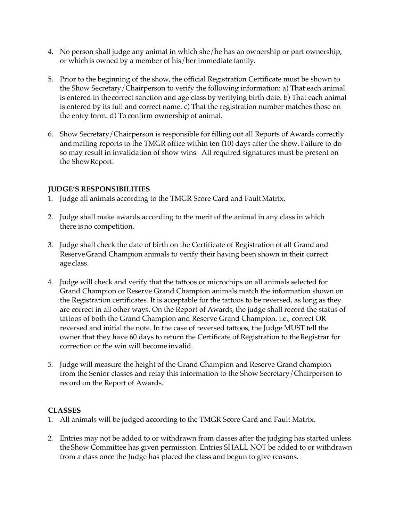- 4. No person shall judge any animal in which she/he has an ownership or part ownership, or whichis owned by a member of his/her immediate family.
- 5. Prior to the beginning of the show, the official Registration Certificate must be shown to the Show Secretary/Chairperson to verify the following information: a) That each animal is entered in thecorrect sanction and age class by verifying birth date. b) That each animal is entered by its full and correct name. c) That the registration number matches those on the entry form. d) To confirm ownership of animal.
- 6. Show Secretary/Chairperson is responsible for filling out all Reports of Awards correctly andmailing reports to the TMGR office within ten (10) days after the show. Failure to do so may result in invalidation of show wins. All required signatures must be present on the ShowReport.

#### **JUDGE'S RESPONSIBILITIES**

- 1. Judge all animals according to the TMGR Score Card and FaultMatrix.
- 2. Judge shall make awards according to the merit of the animal in any class in which there isno competition.
- 3. Judge shall check the date of birth on the Certificate of Registration of all Grand and ReserveGrand Champion animals to verify their having been shown in their correct age class.
- 4. Judge will check and verify that the tattoos or microchips on all animals selected for Grand Champion or Reserve Grand Champion animals match the information shown on the Registration certificates. It is acceptable for the tattoos to be reversed, as long as they are correct in all other ways. On the Report of Awards, the judge shall record the status of tattoos of both the Grand Champion and Reserve Grand Champion. i.e., correct OR reversed and initial the note. In the case of reversed tattoos, the Judge MUST tell the owner that they have 60 days to return the Certificate of Registration to theRegistrar for correction or the win will become invalid.
- 5. Judge will measure the height of the Grand Champion and Reserve Grand champion from the Senior classes and relay this information to the Show Secretary/Chairperson to record on the Report of Awards.

#### **CLASSES**

- 1. All animals will be judged according to the TMGR Score Card and Fault Matrix.
- 2. Entries may not be added to or withdrawn from classes after the judging has started unless the Show Committee has given permission. Entries SHALL NOT be added to or withdrawn from a class once the Judge has placed the class and begun to give reasons.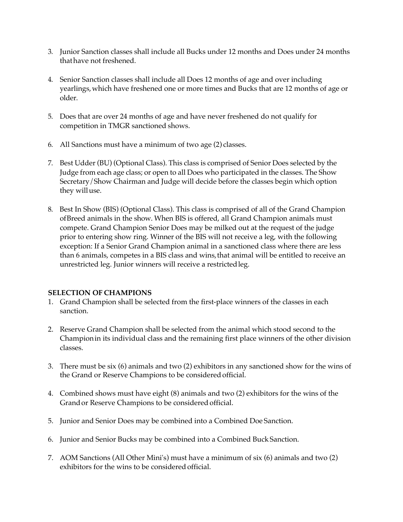- 3. Junior Sanction classes shall include all Bucks under 12 months and Does under 24 months thathave not freshened.
- 4. Senior Sanction classes shall include all Does 12 months of age and over including yearlings,which have freshened one or more times and Bucks that are 12 months of age or older.
- 5. Does that are over 24 months of age and have never freshened do not qualify for competition in TMGR sanctioned shows.
- 6. All Sanctions must have a minimum of two age (2) classes.
- 7. Best Udder (BU) (Optional Class). This class is comprised of Senior Does selected by the Judge from each age class; or open to all Does who participated in the classes. The Show Secretary/Show Chairman and Judge will decide before the classes begin which option they willuse.
- 8. Best In Show (BIS) (Optional Class). This class is comprised of all of the Grand Champion ofBreed animals in the show. When BIS is offered, all Grand Champion animals must compete. Grand Champion Senior Does may be milked out at the request of the judge prior to entering show ring. Winner of the BIS will not receive a leg, with the following exception: If a Senior Grand Champion animal in a sanctioned class where there are less than 6 animals, competes in a BIS class and wins,that animal will be entitled to receive an unrestricted leg. Junior winners will receive a restrictedleg.

#### **SELECTION OF CHAMPIONS**

- 1. Grand Champion shall be selected from the first-place winners of the classes in each sanction.
- 2. Reserve Grand Champion shall be selected from the animal which stood second to the Championin its individual class and the remaining first place winners of the other division classes.
- 3. There must be six (6) animals and two (2) exhibitors in any sanctioned show for the wins of the Grand or Reserve Champions to be consideredofficial.
- 4. Combined shows must have eight (8) animals and two (2) exhibitors for the wins of the Grandor Reserve Champions to be considered official.
- 5. Junior and Senior Does may be combined into a Combined Doe Sanction.
- 6. Junior and Senior Bucks may be combined into a Combined Buck Sanction.
- 7. AOM Sanctions (All Other Mini's) must have a minimum of six (6) animals and two (2) exhibitors for the wins to be considered official.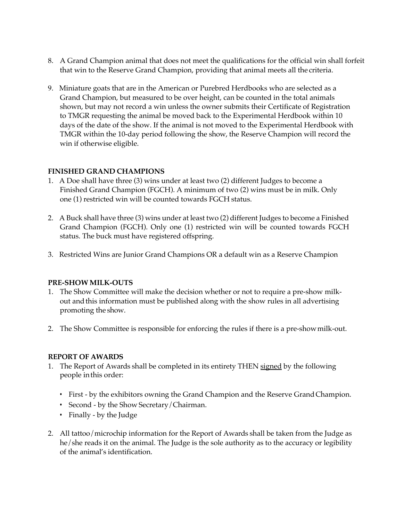- 8. A Grand Champion animal that does not meet the qualifications for the official win shall forfeit that win to the Reserve Grand Champion, providing that animal meets all the criteria.
- 9. Miniature goats that are in the American or Purebred Herdbooks who are selected as a Grand Champion, but measured to be over height, can be counted in the total animals shown, but may not record a win unless the owner submits their Certificate of Registration to TMGR requesting the animal be moved back to the Experimental Herdbook within 10 days of the date of the show. If the animal is not moved to the Experimental Herdbook with TMGR within the 10-day period following the show, the Reserve Champion will record the win if otherwise eligible.

#### **FINISHED GRAND CHAMPIONS**

- 1. A Doe shall have three (3) wins under at least two (2) different Judges to become a Finished Grand Champion (FGCH). A minimum of two (2) wins must be in milk. Only one (1) restricted win will be counted towards FGCH status.
- 2. A Buck shall have three (3) wins under at least two (2) different Judges to become a Finished Grand Champion (FGCH). Only one (1) restricted win will be counted towards FGCH status. The buck must have registered offspring.
- 3. Restricted Wins are Junior Grand Champions OR a default win as a Reserve Champion

#### **PRE-SHOW MILK-OUTS**

- 1. The Show Committee will make the decision whether or not to require a pre-show milkout andthis information must be published along with the show rules in all advertising promoting the show.
- 2. The Show Committee is responsible for enforcing the rules if there is a pre-showmilk-out.

#### **REPORT OF AWARDS**

- 1. The Report of Awards shall be completed in its entirety THEN signed by the following people inthis order:
	- First by the exhibitors owning the Grand Champion and the Reserve GrandChampion.
	- Second by the Show Secretary/Chairman.
	- Finally by the Judge
- 2. All tattoo/microchip information for the Report of Awards shall be taken from the Judge as he/she reads it on the animal. The Judge is the sole authority as to the accuracy or legibility of the animal's identification.